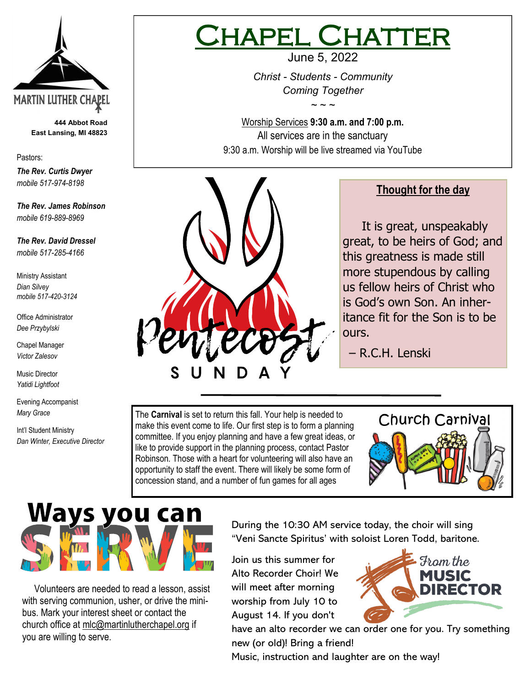

**444 Abbot Road East Lansing, MI 48823**

Pastors:

*The Rev. Curtis Dwyer mobile 517-974-8198*

*The Rev. James Robinson mobile 619-889-8969*

*The Rev. David Dressel mobile 517-285-4166*

Ministry Assistant *Dian Silvey mobile 517-420-3124*

Office Administrator *Dee Przybylski*

Chapel Manager *Victor Zalesov*

Music Director *Yatidi Lightfoot* 

Evening Accompanist *Mary Grace*

Int'l Student Ministry *Dan Winter, Executive Director*

## PFL CHATT June 5, 2022

*Christ - Students - Community Coming Together*

*~ ~ ~*

Worship Services **9:30 a.m. and 7:00 p.m.**  All services are in the sanctuary 9:30 a.m. Worship will be live streamed via YouTube



### **Thought for the day**

 It is great, unspeakably great, to be heirs of God; and this greatness is made still more stupendous by calling us fellow heirs of Christ who is God's own Son. An inheritance fit for the Son is to be ours.

– R.C.H. Lenski

The **Carnival** is set to return this fall. Your help is needed to make this event come to life. Our first step is to form a planning committee. If you enjoy planning and have a few great ideas, or like to provide support in the planning process, contact Pastor Robinson. Those with a heart for volunteering will also have an opportunity to staff the event. There will likely be some form of concession stand, and a number of fun games for all ages



# Ways you can

 Volunteers are needed to read a lesson, assist with serving communion, usher, or drive the minibus. Mark your interest sheet or contact the church office at mlc@martinlutherchapel.org if you are willing to serve.

During the 10:30 AM service today, the choir will sing "Veni Sancte Spiritus' with soloist Loren Todd, baritone.

Join us this summer for Alto Recorder Choir! We will meet after morning worship from July 10 to August 14. If you don't



have an alto recorder we can order one for you. Try something new (or old)! Bring a friend!

Music, instruction and laughter are on the way!